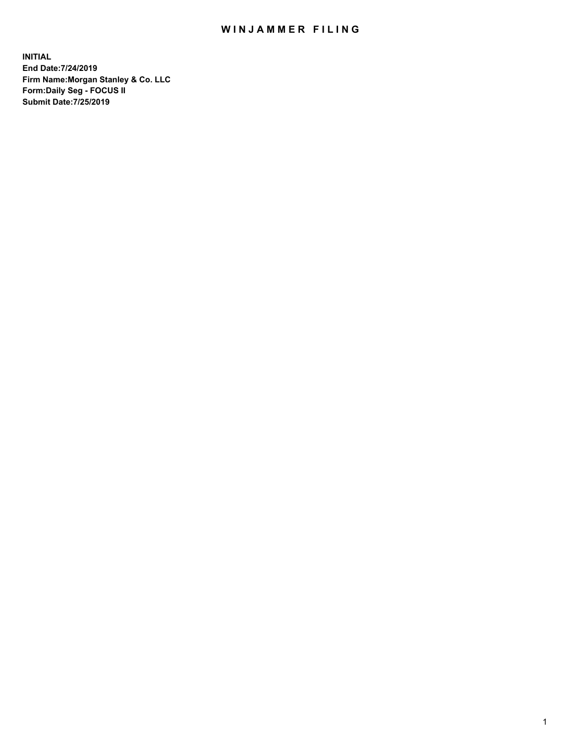## WIN JAMMER FILING

**INITIAL End Date:7/24/2019 Firm Name:Morgan Stanley & Co. LLC Form:Daily Seg - FOCUS II Submit Date:7/25/2019**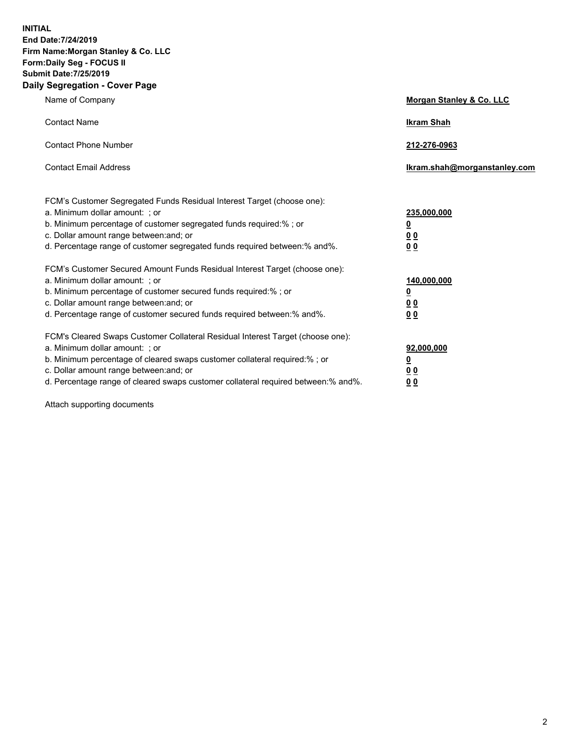**INITIAL End Date:7/24/2019 Firm Name:Morgan Stanley & Co. LLC Form:Daily Seg - FOCUS II Submit Date:7/25/2019 Daily Segregation - Cover Page**

| Name of Company                                                                                                                                                                                                                                                                                                                | Morgan Stanley & Co. LLC                                    |
|--------------------------------------------------------------------------------------------------------------------------------------------------------------------------------------------------------------------------------------------------------------------------------------------------------------------------------|-------------------------------------------------------------|
| <b>Contact Name</b>                                                                                                                                                                                                                                                                                                            | <b>Ikram Shah</b>                                           |
| <b>Contact Phone Number</b>                                                                                                                                                                                                                                                                                                    | 212-276-0963                                                |
| <b>Contact Email Address</b>                                                                                                                                                                                                                                                                                                   | Ikram.shah@morganstanley.com                                |
| FCM's Customer Segregated Funds Residual Interest Target (choose one):<br>a. Minimum dollar amount: ; or<br>b. Minimum percentage of customer segregated funds required:% ; or<br>c. Dollar amount range between: and; or<br>d. Percentage range of customer segregated funds required between:% and%.                         | 235,000,000<br><u>0</u><br>0 <sub>0</sub><br>0 <sub>0</sub> |
| FCM's Customer Secured Amount Funds Residual Interest Target (choose one):<br>a. Minimum dollar amount: ; or<br>b. Minimum percentage of customer secured funds required:%; or<br>c. Dollar amount range between: and; or<br>d. Percentage range of customer secured funds required between:% and%.                            | 140,000,000<br><u>0</u><br>0 <sub>0</sub><br>0 <sub>0</sub> |
| FCM's Cleared Swaps Customer Collateral Residual Interest Target (choose one):<br>a. Minimum dollar amount: ; or<br>b. Minimum percentage of cleared swaps customer collateral required:% ; or<br>c. Dollar amount range between: and; or<br>d. Percentage range of cleared swaps customer collateral required between:% and%. | 92,000,000<br><u>0</u><br><u>00</u><br>0 <sub>0</sub>       |

Attach supporting documents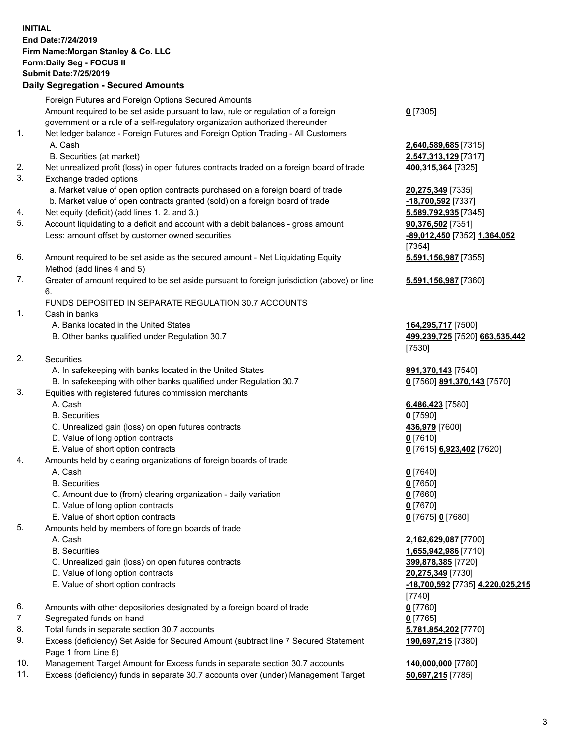## **INITIAL End Date:7/24/2019 Firm Name:Morgan Stanley & Co. LLC Form:Daily Seg - FOCUS II Submit Date:7/25/2019 Daily Segregation - Secured Amounts** Foreign Futures and Foreign Options Secured Amounts Amount required to be set aside pursuant to law, rule or regulation of a foreign government or a rule of a self-regulatory organization authorized thereunder **0** [7305] 1. Net ledger balance - Foreign Futures and Foreign Option Trading - All Customers A. Cash **2,640,589,685** [7315] B. Securities (at market) **2,547,313,129** [7317] 2. Net unrealized profit (loss) in open futures contracts traded on a foreign board of trade **400,315,364** [7325] 3. Exchange traded options a. Market value of open option contracts purchased on a foreign board of trade **20,275,349** [7335] b. Market value of open contracts granted (sold) on a foreign board of trade **-18,700,592** [7337] 4. Net equity (deficit) (add lines 1. 2. and 3.) **5,589,792,935** [7345] 5. Account liquidating to a deficit and account with a debit balances - gross amount **90,376,502** [7351] Less: amount offset by customer owned securities **-89,012,450** [7352] **1,364,052** [7354] 6. Amount required to be set aside as the secured amount - Net Liquidating Equity Method (add lines 4 and 5) **5,591,156,987** [7355] 7. Greater of amount required to be set aside pursuant to foreign jurisdiction (above) or line 6. **5,591,156,987** [7360] FUNDS DEPOSITED IN SEPARATE REGULATION 30.7 ACCOUNTS 1. Cash in banks A. Banks located in the United States **164,295,717** [7500] B. Other banks qualified under Regulation 30.7 **499,239,725** [7520] **663,535,442** [7530] 2. Securities A. In safekeeping with banks located in the United States **891,370,143** [7540] B. In safekeeping with other banks qualified under Regulation 30.7 **0** [7560] **891,370,143** [7570] 3. Equities with registered futures commission merchants A. Cash **6,486,423** [7580] B. Securities **0** [7590] C. Unrealized gain (loss) on open futures contracts **436,979** [7600] D. Value of long option contracts **0** [7610] E. Value of short option contracts **0** [7615] **6,923,402** [7620] 4. Amounts held by clearing organizations of foreign boards of trade A. Cash **0** [7640] B. Securities **0** [7650] C. Amount due to (from) clearing organization - daily variation **0** [7660] D. Value of long option contracts **0** [7670] E. Value of short option contracts **0** [7675] **0** [7680] 5. Amounts held by members of foreign boards of trade A. Cash **2,162,629,087** [7700] B. Securities **1,655,942,986** [7710] C. Unrealized gain (loss) on open futures contracts **399,878,385** [7720] D. Value of long option contracts **20,275,349** [7730] E. Value of short option contracts **-18,700,592** [7735] **4,220,025,215** [7740] 6. Amounts with other depositories designated by a foreign board of trade **0** [7760] 7. Segregated funds on hand **0** [7765] 8. Total funds in separate section 30.7 accounts **5,781,854,202** [7770] 9. Excess (deficiency) Set Aside for Secured Amount (subtract line 7 Secured Statement **190,697,215** [7380]

- Page 1 from Line 8)
- 10. Management Target Amount for Excess funds in separate section 30.7 accounts **140,000,000** [7780]
- 11. Excess (deficiency) funds in separate 30.7 accounts over (under) Management Target **50,697,215** [7785]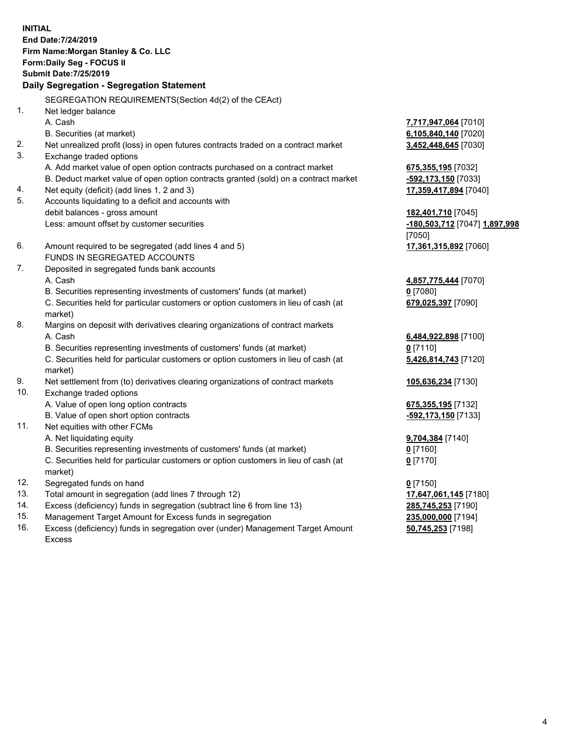**INITIAL End Date:7/24/2019 Firm Name:Morgan Stanley & Co. LLC Form:Daily Seg - FOCUS II Submit Date:7/25/2019 Daily Segregation - Segregation Statement** SEGREGATION REQUIREMENTS(Section 4d(2) of the CEAct) 1. Net ledger balance A. Cash **7,717,947,064** [7010] B. Securities (at market) **6,105,840,140** [7020] 2. Net unrealized profit (loss) in open futures contracts traded on a contract market **3,452,448,645** [7030] 3. Exchange traded options A. Add market value of open option contracts purchased on a contract market **675,355,195** [7032] B. Deduct market value of open option contracts granted (sold) on a contract market **-592,173,150** [7033] 4. Net equity (deficit) (add lines 1, 2 and 3) **17,359,417,894** [7040] 5. Accounts liquidating to a deficit and accounts with debit balances - gross amount **182,401,710** [7045] Less: amount offset by customer securities **-180,503,712** [7047] **1,897,998** [7050] 6. Amount required to be segregated (add lines 4 and 5) **17,361,315,892** [7060] FUNDS IN SEGREGATED ACCOUNTS 7. Deposited in segregated funds bank accounts A. Cash **4,857,775,444** [7070] B. Securities representing investments of customers' funds (at market) **0** [7080] C. Securities held for particular customers or option customers in lieu of cash (at market) **679,025,397** [7090] 8. Margins on deposit with derivatives clearing organizations of contract markets A. Cash **6,484,922,898** [7100] B. Securities representing investments of customers' funds (at market) **0** [7110] C. Securities held for particular customers or option customers in lieu of cash (at market) **5,426,814,743** [7120] 9. Net settlement from (to) derivatives clearing organizations of contract markets **105,636,234** [7130] 10. Exchange traded options A. Value of open long option contracts **675,355,195** [7132] B. Value of open short option contracts **-592,173,150** [7133] 11. Net equities with other FCMs A. Net liquidating equity **9,704,384** [7140] B. Securities representing investments of customers' funds (at market) **0** [7160] C. Securities held for particular customers or option customers in lieu of cash (at market) **0** [7170] 12. Segregated funds on hand **0** [7150] 13. Total amount in segregation (add lines 7 through 12) **17,647,061,145** [7180] 14. Excess (deficiency) funds in segregation (subtract line 6 from line 13) **285,745,253** [7190]

- 15. Management Target Amount for Excess funds in segregation **235,000,000** [7194]
- 16. Excess (deficiency) funds in segregation over (under) Management Target Amount Excess

**50,745,253** [7198]